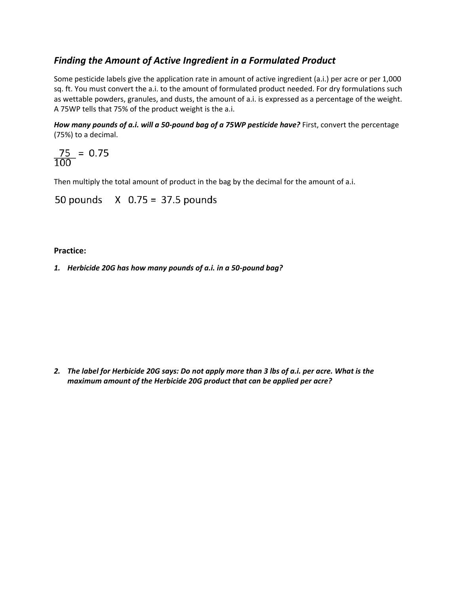# *Finding the Amount of Active Ingredient in a Formulated Product*

Some pesticide labels give the application rate in amount of active ingredient (a.i.) per acre or per 1,000 sq. ft. You must convert the a.i. to the amount of formulated product needed. For dry formulations such as wettable powders, granules, and dusts, the amount of a.i. is expressed as a percentage of the weight. A 75WP tells that 75% of the product weight is the a.i.

*How many pounds of a.i. will a 50-pound bag of a 75WP pesticide have?* First, convert the percentage (75%) to a decimal.

 $\frac{75}{100}$  = 0.75

Then multiply the total amount of product in the bag by the decimal for the amount of a.i.

50 pounds X 0.75 = 37.5 pounds

## **Practice:**

*1. Herbicide 20G has how many pounds of a.i. in a 50-pound bag?* 

*2. The label for Herbicide 20G says: Do not apply more than 3 lbs of a.i. per acre. What is the maximum amount of the Herbicide 20G product that can be applied per acre?*